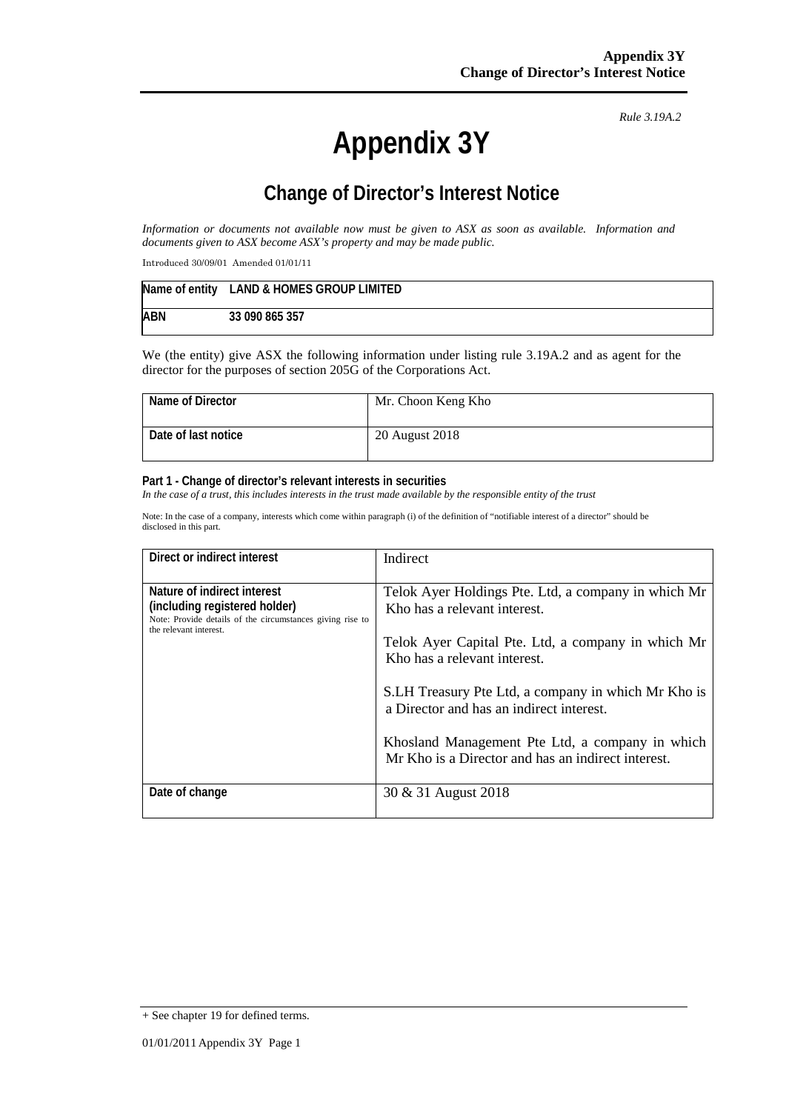# **Appendix 3Y**

*Rule 3.19A.2*

# **Change of Director's Interest Notice**

*Information or documents not available now must be given to ASX as soon as available. Information and documents given to ASX become ASX's property and may be made public.*

Introduced 30/09/01 Amended 01/01/11

|            | Name of entity LAND & HOMES GROUP LIMITED |
|------------|-------------------------------------------|
| <b>ABN</b> | 33 090 865 357                            |

We (the entity) give ASX the following information under listing rule 3.19A.2 and as agent for the director for the purposes of section 205G of the Corporations Act.

| Name of Director    | Mr. Choon Keng Kho |
|---------------------|--------------------|
| Date of last notice | 20 August 2018     |

#### **Part 1 - Change of director's relevant interests in securities**

*In the case of a trust, this includes interests in the trust made available by the responsible entity of the trust*

Note: In the case of a company, interests which come within paragraph (i) of the definition of "notifiable interest of a director" should be disclosed in this part.

| Direct or indirect interest                                                                                               | Indirect                                                                                              |
|---------------------------------------------------------------------------------------------------------------------------|-------------------------------------------------------------------------------------------------------|
| Nature of indirect interest<br>(including registered holder)<br>Note: Provide details of the circumstances giving rise to | Telok Ayer Holdings Pte. Ltd, a company in which Mr<br>Kho has a relevant interest.                   |
| the relevant interest.                                                                                                    | Telok Ayer Capital Pte. Ltd, a company in which Mr<br>Kho has a relevant interest.                    |
|                                                                                                                           | S.LH Treasury Pte Ltd, a company in which Mr Kho is<br>a Director and has an indirect interest.       |
|                                                                                                                           | Khosland Management Pte Ltd, a company in which<br>Mr Kho is a Director and has an indirect interest. |
| Date of change                                                                                                            | 30 & 31 August 2018                                                                                   |

<sup>+</sup> See chapter 19 for defined terms.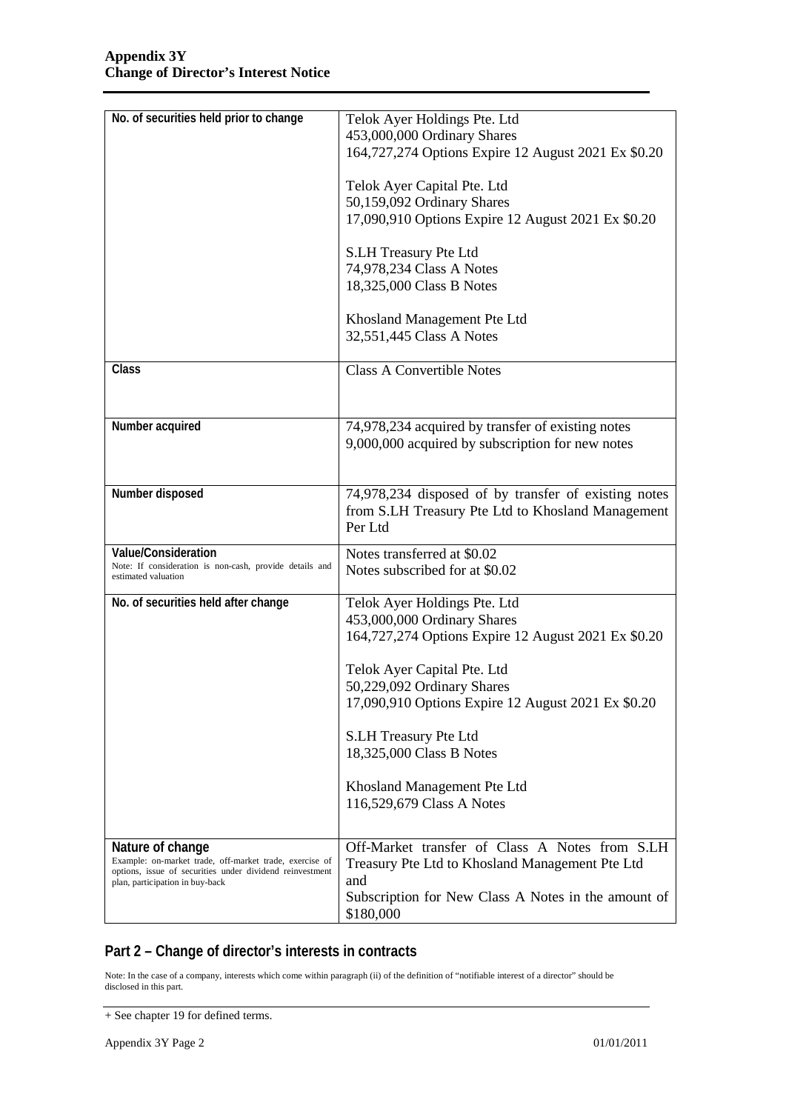| No. of securities held prior to change                                                      | Telok Ayer Holdings Pte. Ltd                         |  |
|---------------------------------------------------------------------------------------------|------------------------------------------------------|--|
|                                                                                             | 453,000,000 Ordinary Shares                          |  |
|                                                                                             | 164,727,274 Options Expire 12 August 2021 Ex \$0.20  |  |
|                                                                                             |                                                      |  |
|                                                                                             | Telok Ayer Capital Pte. Ltd                          |  |
|                                                                                             | 50,159,092 Ordinary Shares                           |  |
|                                                                                             | 17,090,910 Options Expire 12 August 2021 Ex \$0.20   |  |
|                                                                                             |                                                      |  |
|                                                                                             | S.LH Treasury Pte Ltd                                |  |
|                                                                                             | 74,978,234 Class A Notes                             |  |
|                                                                                             | 18,325,000 Class B Notes                             |  |
|                                                                                             |                                                      |  |
|                                                                                             | Khosland Management Pte Ltd                          |  |
|                                                                                             | 32,551,445 Class A Notes                             |  |
|                                                                                             |                                                      |  |
| Class                                                                                       | <b>Class A Convertible Notes</b>                     |  |
|                                                                                             |                                                      |  |
|                                                                                             |                                                      |  |
| Number acquired                                                                             | 74,978,234 acquired by transfer of existing notes    |  |
|                                                                                             | 9,000,000 acquired by subscription for new notes     |  |
|                                                                                             |                                                      |  |
|                                                                                             |                                                      |  |
| Number disposed                                                                             | 74,978,234 disposed of by transfer of existing notes |  |
|                                                                                             | from S.LH Treasury Pte Ltd to Khosland Management    |  |
|                                                                                             | Per Ltd                                              |  |
| Value/Consideration                                                                         | Notes transferred at \$0.02                          |  |
| Note: If consideration is non-cash, provide details and<br>estimated valuation              | Notes subscribed for at \$0.02                       |  |
|                                                                                             |                                                      |  |
| No. of securities held after change                                                         | Telok Ayer Holdings Pte. Ltd                         |  |
|                                                                                             | 453,000,000 Ordinary Shares                          |  |
|                                                                                             | 164,727,274 Options Expire 12 August 2021 Ex \$0.20  |  |
|                                                                                             | Telok Ayer Capital Pte. Ltd                          |  |
|                                                                                             | 50,229,092 Ordinary Shares                           |  |
|                                                                                             | 17,090,910 Options Expire 12 August 2021 Ex \$0.20   |  |
|                                                                                             |                                                      |  |
|                                                                                             | S.LH Treasury Pte Ltd                                |  |
|                                                                                             | 18,325,000 Class B Notes                             |  |
|                                                                                             |                                                      |  |
|                                                                                             | Khosland Management Pte Ltd                          |  |
|                                                                                             | 116,529,679 Class A Notes                            |  |
|                                                                                             |                                                      |  |
| Nature of change                                                                            | Off-Market transfer of Class A Notes from S.LH       |  |
| Example: on-market trade, off-market trade, exercise of                                     | Treasury Pte Ltd to Khosland Management Pte Ltd      |  |
| options, issue of securities under dividend reinvestment<br>plan, participation in buy-back | and                                                  |  |
|                                                                                             | Subscription for New Class A Notes in the amount of  |  |
|                                                                                             |                                                      |  |

## **Part 2 – Change of director's interests in contracts**

Note: In the case of a company, interests which come within paragraph (ii) of the definition of "notifiable interest of a director" should be disclosed in this part.

<sup>+</sup> See chapter 19 for defined terms.